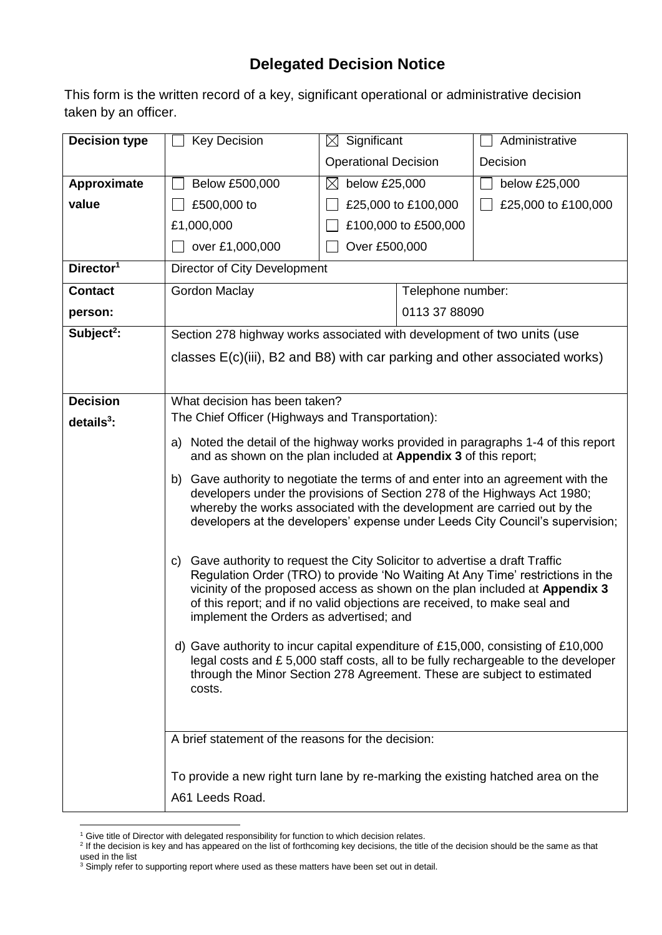## **Delegated Decision Notice**

This form is the written record of a key, significant operational or administrative decision taken by an officer.

| <b>Decision type</b>   | <b>Key Decision</b>                                                                                                                                                                                                                                                                                                                                                                                                                                                                                                                                                                                                                     | $\boxtimes$ Significant     |                   | Administrative      |  |  |  |
|------------------------|-----------------------------------------------------------------------------------------------------------------------------------------------------------------------------------------------------------------------------------------------------------------------------------------------------------------------------------------------------------------------------------------------------------------------------------------------------------------------------------------------------------------------------------------------------------------------------------------------------------------------------------------|-----------------------------|-------------------|---------------------|--|--|--|
|                        |                                                                                                                                                                                                                                                                                                                                                                                                                                                                                                                                                                                                                                         | <b>Operational Decision</b> |                   | Decision            |  |  |  |
| Approximate            | Below £500,000                                                                                                                                                                                                                                                                                                                                                                                                                                                                                                                                                                                                                          | $\boxtimes$ below £25,000   |                   | below £25,000       |  |  |  |
| value                  | £500,000 to                                                                                                                                                                                                                                                                                                                                                                                                                                                                                                                                                                                                                             | £25,000 to £100,000         |                   | £25,000 to £100,000 |  |  |  |
|                        | £1,000,000                                                                                                                                                                                                                                                                                                                                                                                                                                                                                                                                                                                                                              | £100,000 to £500,000        |                   |                     |  |  |  |
|                        | over £1,000,000                                                                                                                                                                                                                                                                                                                                                                                                                                                                                                                                                                                                                         | Over £500,000               |                   |                     |  |  |  |
| Director <sup>1</sup>  | Director of City Development                                                                                                                                                                                                                                                                                                                                                                                                                                                                                                                                                                                                            |                             |                   |                     |  |  |  |
| <b>Contact</b>         | Gordon Maclay                                                                                                                                                                                                                                                                                                                                                                                                                                                                                                                                                                                                                           |                             | Telephone number: |                     |  |  |  |
| person:                |                                                                                                                                                                                                                                                                                                                                                                                                                                                                                                                                                                                                                                         | 0113 37 88090               |                   |                     |  |  |  |
| Subject <sup>2</sup> : | Section 278 highway works associated with development of two units (use                                                                                                                                                                                                                                                                                                                                                                                                                                                                                                                                                                 |                             |                   |                     |  |  |  |
|                        | classes E(c)(iii), B2 and B8) with car parking and other associated works)                                                                                                                                                                                                                                                                                                                                                                                                                                                                                                                                                              |                             |                   |                     |  |  |  |
|                        |                                                                                                                                                                                                                                                                                                                                                                                                                                                                                                                                                                                                                                         |                             |                   |                     |  |  |  |
| <b>Decision</b>        | What decision has been taken?                                                                                                                                                                                                                                                                                                                                                                                                                                                                                                                                                                                                           |                             |                   |                     |  |  |  |
| $details3$ :           | The Chief Officer (Highways and Transportation):                                                                                                                                                                                                                                                                                                                                                                                                                                                                                                                                                                                        |                             |                   |                     |  |  |  |
|                        | a) Noted the detail of the highway works provided in paragraphs 1-4 of this report<br>and as shown on the plan included at Appendix 3 of this report;                                                                                                                                                                                                                                                                                                                                                                                                                                                                                   |                             |                   |                     |  |  |  |
|                        | b) Gave authority to negotiate the terms of and enter into an agreement with the<br>developers under the provisions of Section 278 of the Highways Act 1980;<br>whereby the works associated with the development are carried out by the<br>developers at the developers' expense under Leeds City Council's supervision;                                                                                                                                                                                                                                                                                                               |                             |                   |                     |  |  |  |
|                        | Gave authority to request the City Solicitor to advertise a draft Traffic<br>C)<br>Regulation Order (TRO) to provide 'No Waiting At Any Time' restrictions in the<br>vicinity of the proposed access as shown on the plan included at Appendix 3<br>of this report; and if no valid objections are received, to make seal and<br>implement the Orders as advertised; and<br>d) Gave authority to incur capital expenditure of £15,000, consisting of £10,000<br>legal costs and £ 5,000 staff costs, all to be fully rechargeable to the developer<br>through the Minor Section 278 Agreement. These are subject to estimated<br>costs. |                             |                   |                     |  |  |  |
|                        |                                                                                                                                                                                                                                                                                                                                                                                                                                                                                                                                                                                                                                         |                             |                   |                     |  |  |  |
|                        | A brief statement of the reasons for the decision:                                                                                                                                                                                                                                                                                                                                                                                                                                                                                                                                                                                      |                             |                   |                     |  |  |  |
|                        |                                                                                                                                                                                                                                                                                                                                                                                                                                                                                                                                                                                                                                         |                             |                   |                     |  |  |  |
|                        | To provide a new right turn lane by re-marking the existing hatched area on the                                                                                                                                                                                                                                                                                                                                                                                                                                                                                                                                                         |                             |                   |                     |  |  |  |
|                        | A61 Leeds Road.                                                                                                                                                                                                                                                                                                                                                                                                                                                                                                                                                                                                                         |                             |                   |                     |  |  |  |

<sup>1</sup> 

<sup>&</sup>lt;sup>1</sup> Give title of Director with delegated responsibility for function to which decision relates.<br><sup>2</sup> If the decision is key and has appeared on the list of forthcoming key decisions, the title of the decision should be the used in the list

 $3$  Simply refer to supporting report where used as these matters have been set out in detail.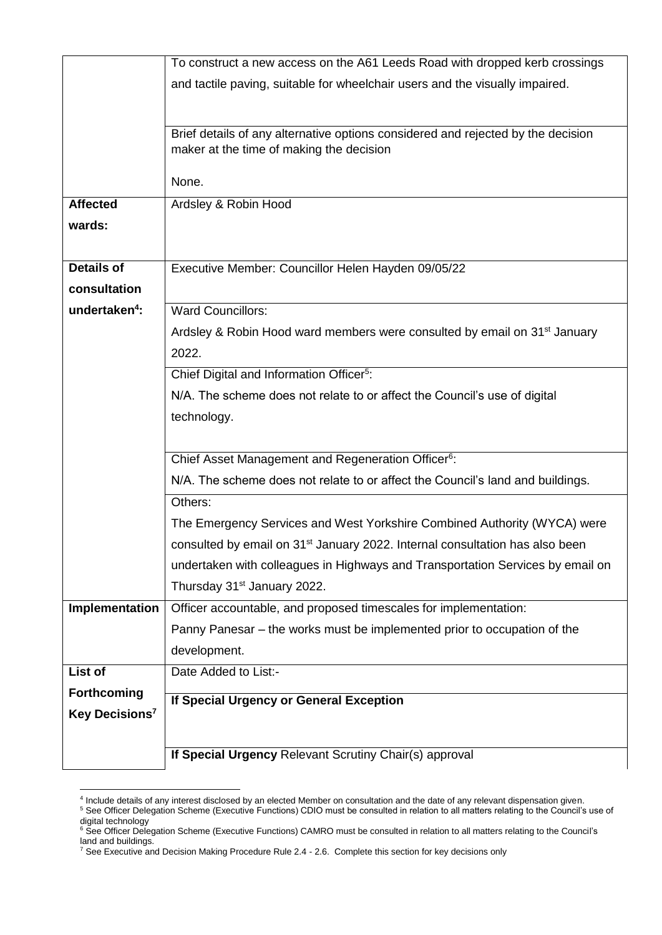|                            | To construct a new access on the A61 Leeds Road with dropped kerb crossings              |  |  |  |  |  |  |
|----------------------------|------------------------------------------------------------------------------------------|--|--|--|--|--|--|
|                            | and tactile paving, suitable for wheelchair users and the visually impaired.             |  |  |  |  |  |  |
|                            |                                                                                          |  |  |  |  |  |  |
|                            | Brief details of any alternative options considered and rejected by the decision         |  |  |  |  |  |  |
|                            | maker at the time of making the decision                                                 |  |  |  |  |  |  |
|                            |                                                                                          |  |  |  |  |  |  |
|                            | None.                                                                                    |  |  |  |  |  |  |
| <b>Affected</b>            | Ardsley & Robin Hood                                                                     |  |  |  |  |  |  |
| wards:                     |                                                                                          |  |  |  |  |  |  |
|                            |                                                                                          |  |  |  |  |  |  |
| <b>Details of</b>          | Executive Member: Councillor Helen Hayden 09/05/22                                       |  |  |  |  |  |  |
| consultation               |                                                                                          |  |  |  |  |  |  |
| undertaken <sup>4</sup> :  | <b>Ward Councillors:</b>                                                                 |  |  |  |  |  |  |
|                            | Ardsley & Robin Hood ward members were consulted by email on 31 <sup>st</sup> January    |  |  |  |  |  |  |
|                            | 2022.                                                                                    |  |  |  |  |  |  |
|                            | Chief Digital and Information Officer <sup>5</sup> :                                     |  |  |  |  |  |  |
|                            | N/A. The scheme does not relate to or affect the Council's use of digital                |  |  |  |  |  |  |
|                            | technology.                                                                              |  |  |  |  |  |  |
|                            |                                                                                          |  |  |  |  |  |  |
|                            | Chief Asset Management and Regeneration Officer <sup>6</sup> :                           |  |  |  |  |  |  |
|                            | N/A. The scheme does not relate to or affect the Council's land and buildings.           |  |  |  |  |  |  |
|                            | Others:                                                                                  |  |  |  |  |  |  |
|                            | The Emergency Services and West Yorkshire Combined Authority (WYCA) were                 |  |  |  |  |  |  |
|                            | consulted by email on 31 <sup>st</sup> January 2022. Internal consultation has also been |  |  |  |  |  |  |
|                            | undertaken with colleagues in Highways and Transportation Services by email on           |  |  |  |  |  |  |
|                            | Thursday 31 <sup>st</sup> January 2022.                                                  |  |  |  |  |  |  |
| Implementation             | Officer accountable, and proposed timescales for implementation:                         |  |  |  |  |  |  |
|                            | Panny Panesar – the works must be implemented prior to occupation of the                 |  |  |  |  |  |  |
|                            | development.                                                                             |  |  |  |  |  |  |
| List of                    | Date Added to List:-                                                                     |  |  |  |  |  |  |
| <b>Forthcoming</b>         | If Special Urgency or General Exception                                                  |  |  |  |  |  |  |
| Key Decisions <sup>7</sup> |                                                                                          |  |  |  |  |  |  |
|                            |                                                                                          |  |  |  |  |  |  |
|                            | If Special Urgency Relevant Scrutiny Chair(s) approval                                   |  |  |  |  |  |  |

 4 Include details of any interest disclosed by an elected Member on consultation and the date of any relevant dispensation given. <sup>5</sup> See Officer Delegation Scheme (Executive Functions) CDIO must be consulted in relation to all matters relating to the Council's use of digital technology

<sup>&</sup>lt;sup>6</sup> See Officer Delegation Scheme (Executive Functions) CAMRO must be consulted in relation to all matters relating to the Council's land and buildings.

 $^7$  See Executive and Decision Making Procedure Rule 2.4 - 2.6. Complete this section for key decisions only